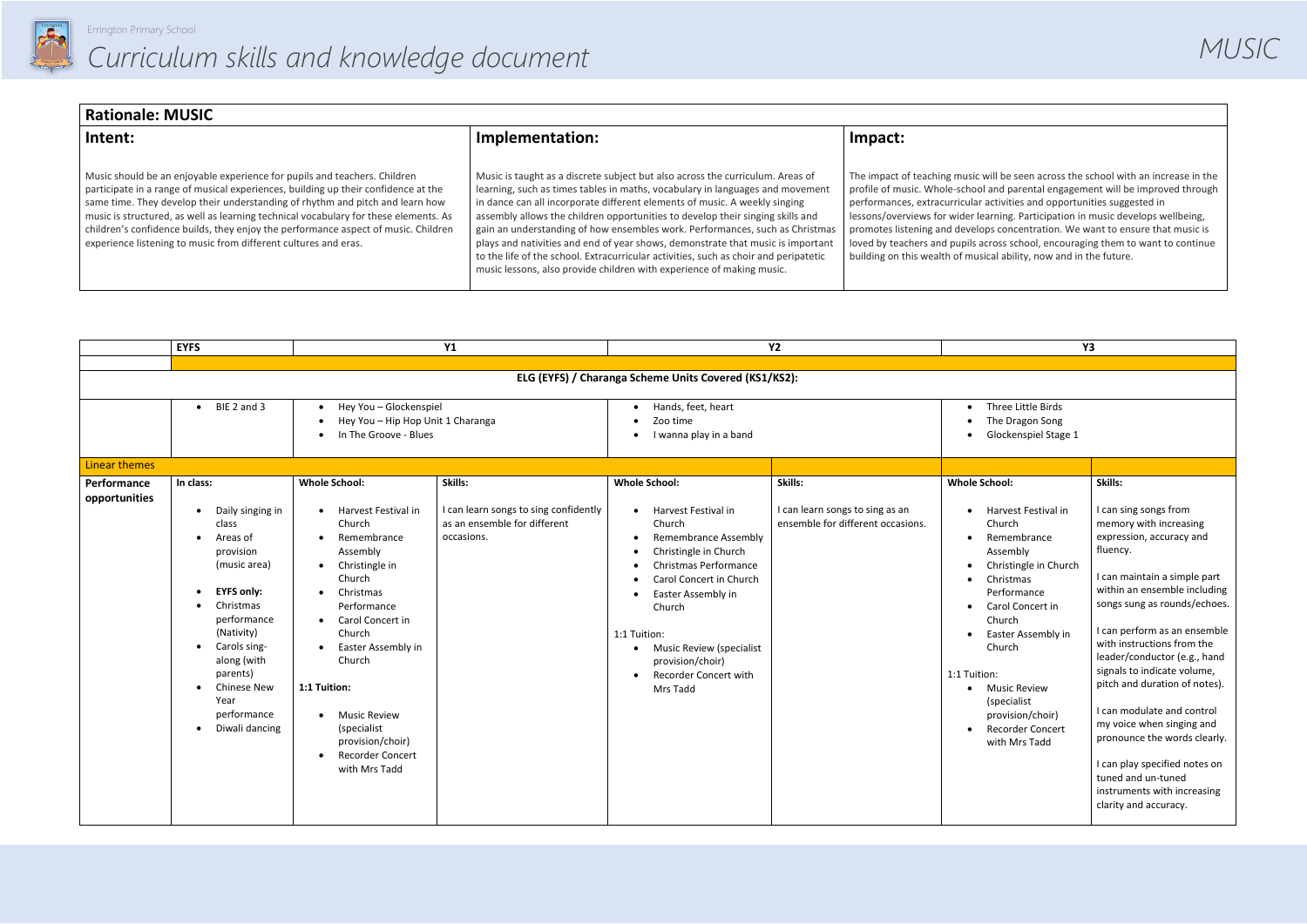

| <b>Rationale: MUSIC</b>                                                                                                                                                                                                                                                                                                                                                                                                                                                                           |                                                                                                                                                                                                                                                                                                                                                                                                                                                                                                                                                                                                                                                                     |                                                                                                                                                                                                                                            |  |  |  |  |
|---------------------------------------------------------------------------------------------------------------------------------------------------------------------------------------------------------------------------------------------------------------------------------------------------------------------------------------------------------------------------------------------------------------------------------------------------------------------------------------------------|---------------------------------------------------------------------------------------------------------------------------------------------------------------------------------------------------------------------------------------------------------------------------------------------------------------------------------------------------------------------------------------------------------------------------------------------------------------------------------------------------------------------------------------------------------------------------------------------------------------------------------------------------------------------|--------------------------------------------------------------------------------------------------------------------------------------------------------------------------------------------------------------------------------------------|--|--|--|--|
| Intent:                                                                                                                                                                                                                                                                                                                                                                                                                                                                                           | Implementation:                                                                                                                                                                                                                                                                                                                                                                                                                                                                                                                                                                                                                                                     | Impact:                                                                                                                                                                                                                                    |  |  |  |  |
| Music should be an enjoyable experience for pupils and teachers. Children<br>participate in a range of musical experiences, building up their confidence at the<br>same time. They develop their understanding of rhythm and pitch and learn how<br>music is structured, as well as learning technical vocabulary for these elements. As<br>children's confidence builds, they enjoy the performance aspect of music. Children<br>experience listening to music from different cultures and eras. | Music is taught as a discrete subject but also across the curriculum. Areas of<br>learning, such as times tables in maths, vocabulary in languages and movement<br>in dance can all incorporate different elements of music. A weekly singing<br>assembly allows the children opportunities to develop their singing skills and<br>gain an understanding of how ensembles work. Performances, such as Christmas<br>plays and nativities and end of year shows, demonstrate that music is important<br>to the life of the school. Extracurricular activities, such as choir and peripatetic<br>music lessons, also provide children with experience of making music. | The impact of teaching music v<br>profile of music. Whole-school<br>performances, extracurricular<br>lessons/overviews for wider le<br>promotes listening and develo<br>loved by teachers and pupils ar<br>building on this wealth of musi |  |  |  |  |

|                                                      | <b>EYFS</b>                                                                                                                                                                                                                                                                        |                                                                                                                                                                                                                                                                                                                                                        | Y1                                                                                             |                                                                                                                                                                                                                                                                                                              | <b>Y2</b>                                                                       |                                                                                                                                                                                                                                                                                                                                                                                                                      | <b>Y3</b>                                                                                                                                                                                                                                                                                                                                                                                                                                                                                                                                                                  |
|------------------------------------------------------|------------------------------------------------------------------------------------------------------------------------------------------------------------------------------------------------------------------------------------------------------------------------------------|--------------------------------------------------------------------------------------------------------------------------------------------------------------------------------------------------------------------------------------------------------------------------------------------------------------------------------------------------------|------------------------------------------------------------------------------------------------|--------------------------------------------------------------------------------------------------------------------------------------------------------------------------------------------------------------------------------------------------------------------------------------------------------------|---------------------------------------------------------------------------------|----------------------------------------------------------------------------------------------------------------------------------------------------------------------------------------------------------------------------------------------------------------------------------------------------------------------------------------------------------------------------------------------------------------------|----------------------------------------------------------------------------------------------------------------------------------------------------------------------------------------------------------------------------------------------------------------------------------------------------------------------------------------------------------------------------------------------------------------------------------------------------------------------------------------------------------------------------------------------------------------------------|
|                                                      |                                                                                                                                                                                                                                                                                    |                                                                                                                                                                                                                                                                                                                                                        |                                                                                                |                                                                                                                                                                                                                                                                                                              |                                                                                 |                                                                                                                                                                                                                                                                                                                                                                                                                      |                                                                                                                                                                                                                                                                                                                                                                                                                                                                                                                                                                            |
|                                                      |                                                                                                                                                                                                                                                                                    |                                                                                                                                                                                                                                                                                                                                                        |                                                                                                | ELG (EYFS) / Charanga Scheme Units Covered (KS1/KS2):                                                                                                                                                                                                                                                        |                                                                                 |                                                                                                                                                                                                                                                                                                                                                                                                                      |                                                                                                                                                                                                                                                                                                                                                                                                                                                                                                                                                                            |
|                                                      | BIE 2 and 3<br>$\bullet$                                                                                                                                                                                                                                                           | Hey You - Glockenspiel<br>Hey You - Hip Hop Unit 1 Charanga<br>In The Groove - Blues                                                                                                                                                                                                                                                                   |                                                                                                | Hands, feet, heart<br>Zoo time<br>I wanna play in a band                                                                                                                                                                                                                                                     |                                                                                 | Three Little Birds<br>$\bullet$<br>The Dragon Song<br>$\bullet$<br>Glockenspiel Stage 1                                                                                                                                                                                                                                                                                                                              |                                                                                                                                                                                                                                                                                                                                                                                                                                                                                                                                                                            |
| <b>Linear themes</b><br>Performance<br>opportunities | In class:<br>Daily singing in<br>$\bullet$<br>class<br>Areas of<br>provision<br>(music area)<br><b>EYFS only:</b><br>Christmas<br>performance<br>(Nativity)<br>Carols sing-<br>along (with<br>parents)<br><b>Chinese New</b><br>Year<br>performance<br>Diwali dancing<br>$\bullet$ | <b>Whole School:</b><br>Harvest Festival in<br>Church<br>Remembrance<br>Assembly<br>Christingle in<br>Church<br>Christmas<br>Performance<br>Carol Concert in<br>$\bullet$<br>Church<br>Easter Assembly in<br>Church<br>1:1 Tuition:<br><b>Music Review</b><br>$\bullet$<br>(specialist<br>provision/choir)<br><b>Recorder Concert</b><br>with Mrs Tadd | Skills:<br>I can learn songs to sing confidently<br>as an ensemble for different<br>occasions. | <b>Whole School:</b><br>Harvest Festival in<br>Church<br>Remembrance Assembly<br>Christingle in Church<br>Christmas Performance<br>Carol Concert in Church<br>Easter Assembly in<br>Church<br>1:1 Tuition:<br>Music Review (specialist<br>$\bullet$<br>provision/choir)<br>Recorder Concert with<br>Mrs Tadd | Skills:<br>I can learn songs to sing as an<br>ensemble for different occasions. | <b>Whole School:</b><br>Harvest Festival in<br>$\bullet$<br>Church<br>Remembrance<br>$\bullet$<br>Assembly<br>Christingle in Church<br>$\bullet$<br>Christmas<br>$\bullet$<br>Performance<br>Carol Concert in<br>$\bullet$<br>Church<br>Easter Assembly in<br>Church<br>1:1 Tuition:<br><b>Music Review</b><br>$\bullet$<br>(specialist<br>provision/choir)<br><b>Recorder Concert</b><br>$\bullet$<br>with Mrs Tadd | Skills:<br>I can sing songs from<br>memory with increasing<br>expression, accuracy and<br>fluency.<br>I can maintain a simple part<br>within an ensemble including<br>songs sung as rounds/echoes.<br>I can perform as an ensemble<br>with instructions from the<br>leader/conductor (e.g., hand<br>signals to indicate volume,<br>pitch and duration of notes).<br>I can modulate and control<br>my voice when singing and<br>pronounce the words clearly.<br>I can play specified notes on<br>tuned and un-tuned<br>instruments with increasing<br>clarity and accuracy. |

will be seen across the school with an increase in the I and parental engagement will be improved through activities and opportunities suggested in earning. Participation in music develops wellbeing, pps concentration. We want to ensure that music is loross school, encouraging them to want to continue sical ability, now and in the future.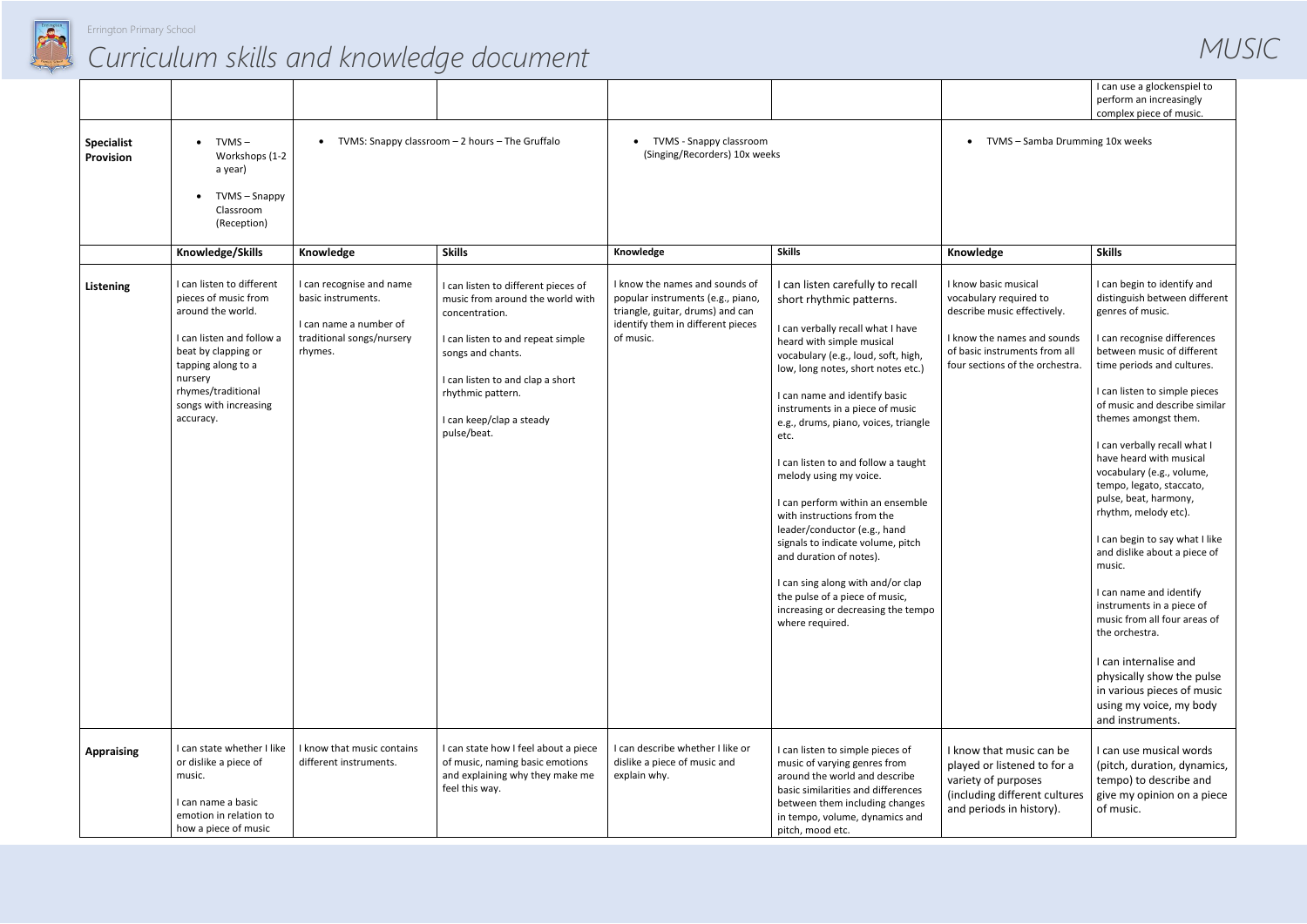

| I can use a glockenspiel to |
|-----------------------------|
| perform an increasingly     |
| complex piece of music.     |
|                             |

|                                |                                                                                                                                                                                                                         |                                                                                                                  |                                                                                                                                                                                                                                                         |                                                                                                                                                           |                                                                                                                                                                                                                                                                                                                                                                                                                                                                                                                                                                                                                                                                                                    |                                                                                                                                                                                  | I can use a glockenspiel to<br>perform an increasingly<br>complex piece of music.                                                                                                                                                                                                                                                                                                                                                                                                                                                                                                                                                                                                                                                                                   |
|--------------------------------|-------------------------------------------------------------------------------------------------------------------------------------------------------------------------------------------------------------------------|------------------------------------------------------------------------------------------------------------------|---------------------------------------------------------------------------------------------------------------------------------------------------------------------------------------------------------------------------------------------------------|-----------------------------------------------------------------------------------------------------------------------------------------------------------|----------------------------------------------------------------------------------------------------------------------------------------------------------------------------------------------------------------------------------------------------------------------------------------------------------------------------------------------------------------------------------------------------------------------------------------------------------------------------------------------------------------------------------------------------------------------------------------------------------------------------------------------------------------------------------------------------|----------------------------------------------------------------------------------------------------------------------------------------------------------------------------------|---------------------------------------------------------------------------------------------------------------------------------------------------------------------------------------------------------------------------------------------------------------------------------------------------------------------------------------------------------------------------------------------------------------------------------------------------------------------------------------------------------------------------------------------------------------------------------------------------------------------------------------------------------------------------------------------------------------------------------------------------------------------|
| <b>Specialist</b><br>Provision | TVMS –<br>$\bullet$<br>Workshops (1-2<br>a year)<br>TVMS - Snappy<br>$\bullet$<br>Classroom<br>(Reception)                                                                                                              | $\bullet$                                                                                                        | TVMS: Snappy classroom - 2 hours - The Gruffalo                                                                                                                                                                                                         | TVMS - Snappy classroom<br>(Singing/Recorders) 10x weeks                                                                                                  |                                                                                                                                                                                                                                                                                                                                                                                                                                                                                                                                                                                                                                                                                                    | TVMS - Samba Drumming 10x weeks                                                                                                                                                  |                                                                                                                                                                                                                                                                                                                                                                                                                                                                                                                                                                                                                                                                                                                                                                     |
|                                | Knowledge/Skills                                                                                                                                                                                                        | Knowledge                                                                                                        | <b>Skills</b>                                                                                                                                                                                                                                           | Knowledge                                                                                                                                                 | <b>Skills</b>                                                                                                                                                                                                                                                                                                                                                                                                                                                                                                                                                                                                                                                                                      | Knowledge                                                                                                                                                                        | <b>Skills</b>                                                                                                                                                                                                                                                                                                                                                                                                                                                                                                                                                                                                                                                                                                                                                       |
| Listening                      | I can listen to different<br>pieces of music from<br>around the world.<br>I can listen and follow a<br>beat by clapping or<br>tapping along to a<br>nursery<br>rhymes/traditional<br>songs with increasing<br>accuracy. | I can recognise and name<br>basic instruments.<br>I can name a number of<br>traditional songs/nursery<br>rhymes. | I can listen to different pieces of<br>music from around the world with<br>concentration.<br>I can listen to and repeat simple<br>songs and chants.<br>I can listen to and clap a short<br>rhythmic pattern.<br>I can keep/clap a steady<br>pulse/beat. | I know the names and sounds of<br>popular instruments (e.g., piano,<br>triangle, guitar, drums) and can<br>identify them in different pieces<br>of music. | I can listen carefully to recall<br>short rhythmic patterns.<br>I can verbally recall what I have<br>heard with simple musical<br>vocabulary (e.g., loud, soft, high,<br>low, long notes, short notes etc.)<br>I can name and identify basic<br>instruments in a piece of music<br>e.g., drums, piano, voices, triangle<br>etc.<br>I can listen to and follow a taught<br>melody using my voice.<br>I can perform within an ensemble<br>with instructions from the<br>leader/conductor (e.g., hand<br>signals to indicate volume, pitch<br>and duration of notes).<br>I can sing along with and/or clap<br>the pulse of a piece of music,<br>increasing or decreasing the tempo<br>where required. | I know basic musical<br>vocabulary required to<br>describe music effectively.<br>I know the names and sounds<br>of basic instruments from all<br>four sections of the orchestra. | I can begin to identify and<br>distinguish between different<br>genres of music.<br>I can recognise differences<br>between music of different<br>time periods and cultures.<br>I can listen to simple pieces<br>of music and describe similar<br>themes amongst them.<br>I can verbally recall what I<br>have heard with musical<br>vocabulary (e.g., volume,<br>tempo, legato, staccato,<br>pulse, beat, harmony,<br>rhythm, melody etc).<br>I can begin to say what I like<br>and dislike about a piece of<br>music.<br>I can name and identify<br>instruments in a piece of<br>music from all four areas of<br>the orchestra.<br>I can internalise and<br>physically show the pulse<br>in various pieces of music<br>using my voice, my body<br>and instruments. |
| <b>Appraising</b>              | I can state whether I like<br>or dislike a piece of<br>music.<br>I can name a basic<br>emotion in relation to<br>how a piece of music                                                                                   | I know that music contains<br>different instruments.                                                             | I can state how I feel about a piece<br>of music, naming basic emotions<br>and explaining why they make me<br>feel this way.                                                                                                                            | I can describe whether I like or<br>dislike a piece of music and<br>explain why.                                                                          | I can listen to simple pieces of<br>music of varying genres from<br>around the world and describe<br>basic similarities and differences<br>between them including changes<br>in tempo, volume, dynamics and<br>pitch, mood etc.                                                                                                                                                                                                                                                                                                                                                                                                                                                                    | I know that music can be<br>played or listened to for a<br>variety of purposes<br>(including different cultures<br>and periods in history).                                      | I can use musical words<br>(pitch, duration, dynamics,<br>tempo) to describe and<br>give my opinion on a piece<br>of music.                                                                                                                                                                                                                                                                                                                                                                                                                                                                                                                                                                                                                                         |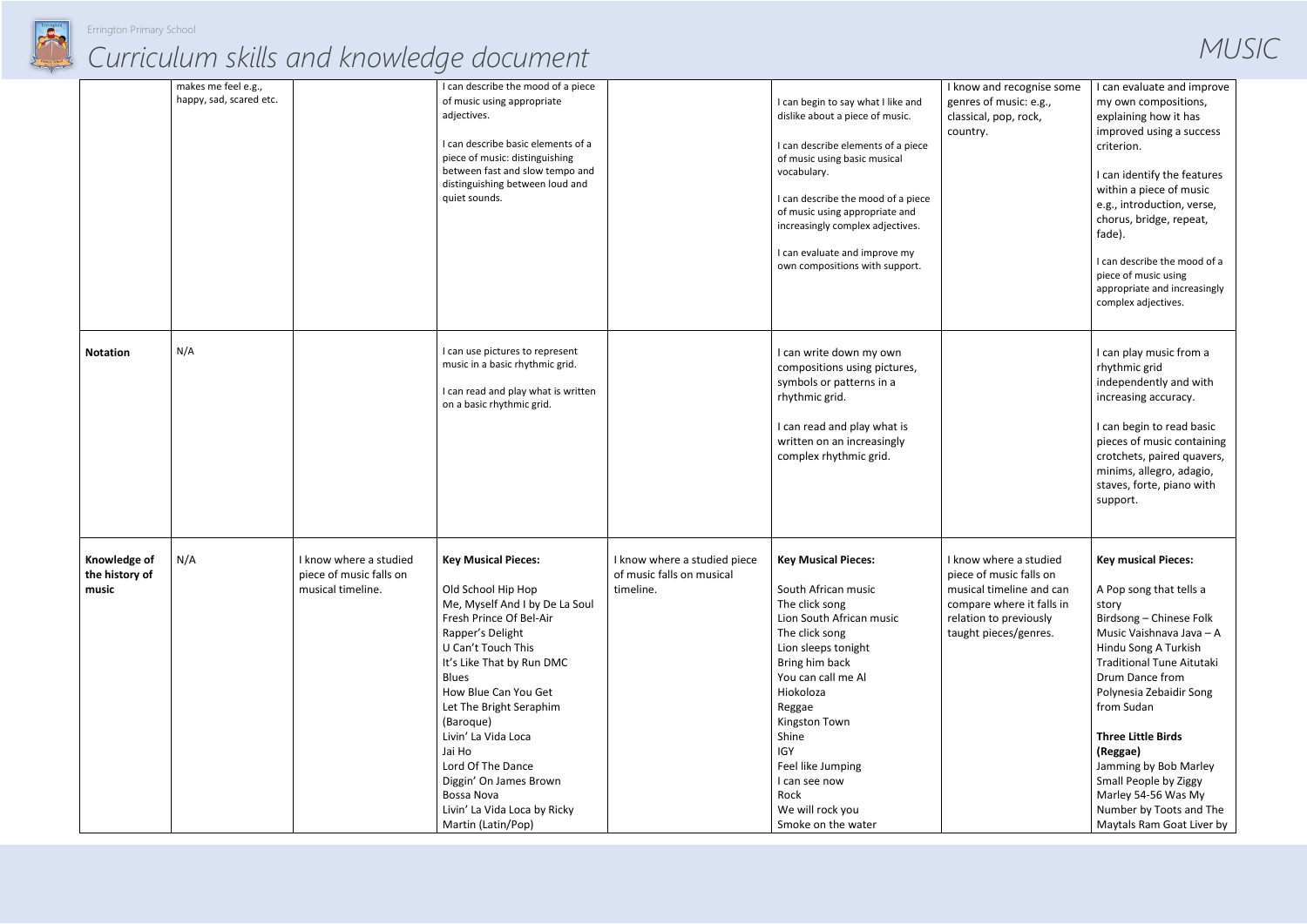

|                                         | makes me feel e.g.,<br>happy, sad, scared etc. |                                                                        | I can describe the mood of a piece<br>of music using appropriate<br>adjectives.<br>I can describe basic elements of a<br>piece of music: distinguishing<br>between fast and slow tempo and<br>distinguishing between loud and<br>quiet sounds.                                                                                                                                                                           |                                                                        | I can begin to say what I like and<br>dislike about a piece of music.<br>I can describe elements of a piece<br>of music using basic musical<br>vocabulary.<br>I can describe the mood of a piece<br>of music using appropriate and<br>increasingly complex adjectives.<br>I can evaluate and improve my<br>own compositions with support. | I know and recognise some<br>genres of music: e.g.,<br>classical, pop, rock,<br>country.                                                                      | I can evaluate and improve<br>my own compositions,<br>explaining how it has<br>improved using a success<br>criterion.<br>I can identify the features<br>within a piece of music<br>e.g., introduction, verse,<br>chorus, bridge, repeat,<br>fade).<br>I can describe the mood of a<br>piece of music using<br>appropriate and increasingly<br>complex adjectives.                                                       |
|-----------------------------------------|------------------------------------------------|------------------------------------------------------------------------|--------------------------------------------------------------------------------------------------------------------------------------------------------------------------------------------------------------------------------------------------------------------------------------------------------------------------------------------------------------------------------------------------------------------------|------------------------------------------------------------------------|-------------------------------------------------------------------------------------------------------------------------------------------------------------------------------------------------------------------------------------------------------------------------------------------------------------------------------------------|---------------------------------------------------------------------------------------------------------------------------------------------------------------|-------------------------------------------------------------------------------------------------------------------------------------------------------------------------------------------------------------------------------------------------------------------------------------------------------------------------------------------------------------------------------------------------------------------------|
| <b>Notation</b>                         | N/A                                            |                                                                        | I can use pictures to represent<br>music in a basic rhythmic grid.<br>I can read and play what is written<br>on a basic rhythmic grid.                                                                                                                                                                                                                                                                                   |                                                                        | I can write down my own<br>compositions using pictures,<br>symbols or patterns in a<br>rhythmic grid.<br>I can read and play what is<br>written on an increasingly<br>complex rhythmic grid.                                                                                                                                              |                                                                                                                                                               | I can play music from a<br>rhythmic grid<br>independently and with<br>increasing accuracy.<br>I can begin to read basic<br>pieces of music containing<br>crotchets, paired quavers,<br>minims, allegro, adagio,<br>staves, forte, piano with<br>support.                                                                                                                                                                |
| Knowledge of<br>the history of<br>music | N/A                                            | I know where a studied<br>piece of music falls on<br>musical timeline. | <b>Key Musical Pieces:</b><br>Old School Hip Hop<br>Me, Myself And I by De La Soul<br>Fresh Prince Of Bel-Air<br>Rapper's Delight<br>U Can't Touch This<br>It's Like That by Run DMC<br><b>Blues</b><br>How Blue Can You Get<br>Let The Bright Seraphim<br>(Baroque)<br>Livin' La Vida Loca<br>Jai Ho<br>Lord Of The Dance<br>Diggin' On James Brown<br>Bossa Nova<br>Livin' La Vida Loca by Ricky<br>Martin (Latin/Pop) | I know where a studied piece<br>of music falls on musical<br>timeline. | <b>Key Musical Pieces:</b><br>South African music<br>The click song<br>Lion South African music<br>The click song<br>Lion sleeps tonight<br>Bring him back<br>You can call me Al<br>Hiokoloza<br>Reggae<br>Kingston Town<br>Shine<br><b>IGY</b><br>Feel like Jumping<br>I can see now<br>Rock<br>We will rock you<br>Smoke on the water   | I know where a studied<br>piece of music falls on<br>musical timeline and can<br>compare where it falls in<br>relation to previously<br>taught pieces/genres. | <b>Key musical Pieces:</b><br>A Pop song that tells a<br>story<br>Birdsong - Chinese Folk<br>Music Vaishnava Java - A<br>Hindu Song A Turkish<br><b>Traditional Tune Aitutaki</b><br>Drum Dance from<br>Polynesia Zebaidir Song<br>from Sudan<br><b>Three Little Birds</b><br>(Reggae)<br>Jamming by Bob Marley<br>Small People by Ziggy<br>Marley 54-56 Was My<br>Number by Toots and The<br>Maytals Ram Goat Liver by |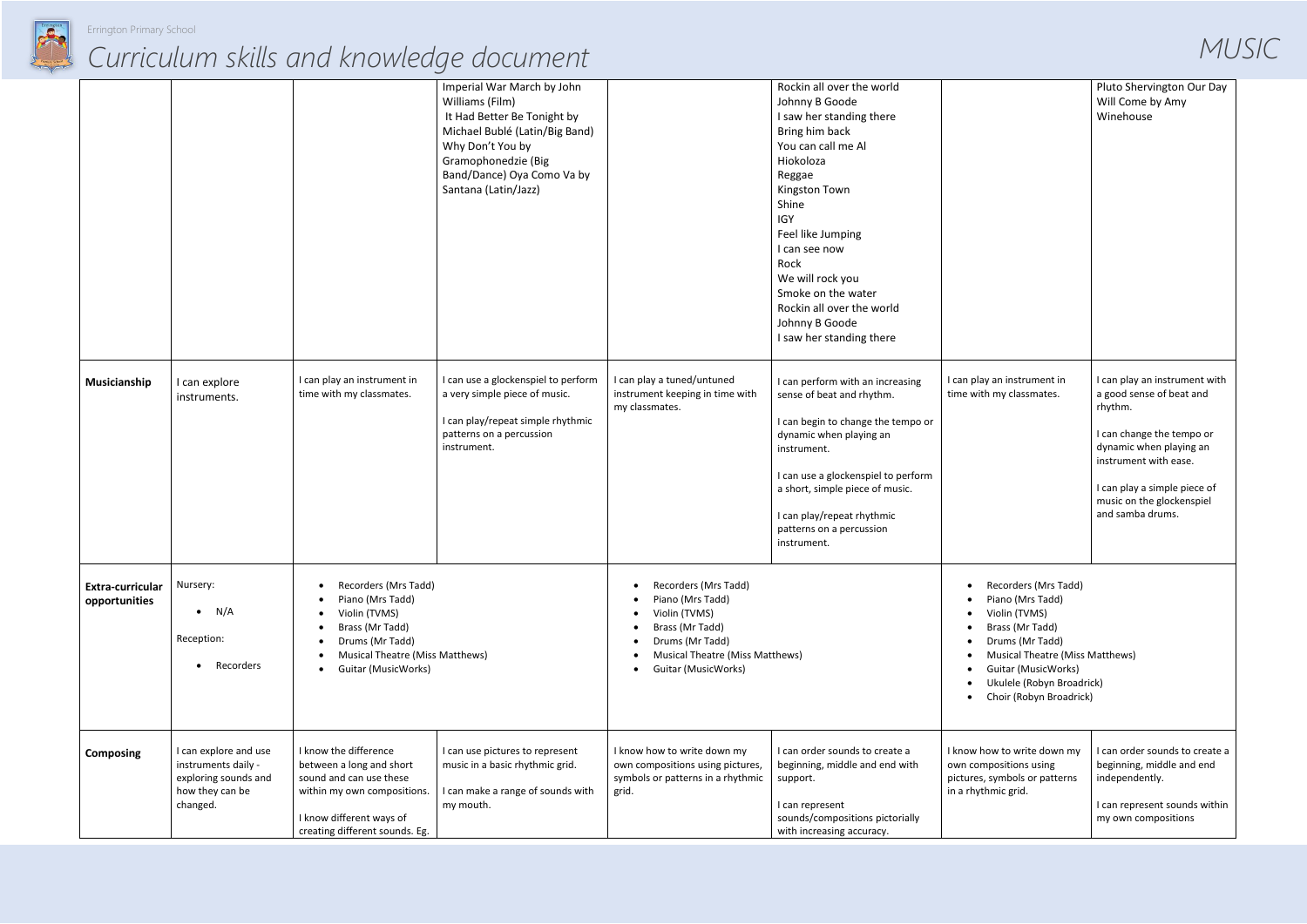

|                                          |                                                                                                     |                                                                                                                                                                                                         | Imperial War March by John<br>Williams (Film)<br>It Had Better Be Tonight by<br>Michael Bublé (Latin/Big Band)<br>Why Don't You by<br>Gramophonedzie (Big<br>Band/Dance) Oya Como Va by<br>Santana (Latin/Jazz) |                                                                                                                                                                  | Rockin all over the world<br>Johnny B Goode<br>I saw her standing there<br>Bring him back<br>You can call me Al<br>Hiokoloza<br>Reggae<br>Kingston Town<br>Shine<br><b>IGY</b><br>Feel like Jumping<br>I can see now<br>Rock<br>We will rock you<br>Smoke on the water<br>Rockin all over the world<br>Johnny B Goode<br>I saw her standing there |                                                                                                                |
|------------------------------------------|-----------------------------------------------------------------------------------------------------|---------------------------------------------------------------------------------------------------------------------------------------------------------------------------------------------------------|-----------------------------------------------------------------------------------------------------------------------------------------------------------------------------------------------------------------|------------------------------------------------------------------------------------------------------------------------------------------------------------------|---------------------------------------------------------------------------------------------------------------------------------------------------------------------------------------------------------------------------------------------------------------------------------------------------------------------------------------------------|----------------------------------------------------------------------------------------------------------------|
| Musicianship                             | I can explore<br>instruments.                                                                       | I can play an instrument in<br>time with my classmates.                                                                                                                                                 | I can use a glockenspiel to perform<br>a very simple piece of music.<br>I can play/repeat simple rhythmic<br>patterns on a percussion<br>instrument.                                                            | I can play a tuned/untuned<br>instrument keeping in time with<br>my classmates.                                                                                  | I can perform with an increasing<br>sense of beat and rhythm.<br>I can begin to change the tempo or<br>dynamic when playing an<br>instrument.<br>I can use a glockenspiel to perform<br>a short, simple piece of music.<br>I can play/repeat rhythmic<br>patterns on a percussion<br>instrument.                                                  | can play an instri<br>time with my class                                                                       |
| <b>Extra-curricular</b><br>opportunities | Nursery:<br>N/A<br>$\bullet$<br>Reception:<br>Recorders                                             | Recorders (Mrs Tadd)<br>$\bullet$<br>Piano (Mrs Tadd)<br>Violin (TVMS)<br>Brass (Mr Tadd)<br>$\bullet$<br>Drums (Mr Tadd)<br>Musical Theatre (Miss Matthews)<br><b>Guitar (MusicWorks)</b><br>$\bullet$ |                                                                                                                                                                                                                 | Recorders (Mrs Tadd)<br>Piano (Mrs Tadd)<br>Violin (TVMS)<br>Brass (Mr Tadd)<br>Drums (Mr Tadd)<br><b>Musical Theatre (Miss Matthews)</b><br>Guitar (MusicWorks) |                                                                                                                                                                                                                                                                                                                                                   | Recorder<br>Piano (M<br>Violin (T\<br>Brass (M<br>Drums (N<br>Musical 1<br>Guitar (M<br>Ukulele (<br>Choir (Ro |
| <b>Composing</b>                         | I can explore and use<br>instruments daily -<br>exploring sounds and<br>how they can be<br>changed. | I know the difference<br>between a long and short<br>sound and can use these<br>within my own compositions.<br>I know different ways of<br>creating different sounds. Eg.                               | I can use pictures to represent<br>music in a basic rhythmic grid.<br>I can make a range of sounds with<br>my mouth.                                                                                            | I know how to write down my<br>own compositions using pictures,<br>symbols or patterns in a rhythmic<br>grid.                                                    | I can order sounds to create a<br>beginning, middle and end with<br>support.<br>I can represent<br>sounds/compositions pictorially<br>with increasing accuracy.                                                                                                                                                                                   | I know how to wri<br>own compositions<br>pictures, symbols<br>in a rhythmic grid.                              |

|                                                                                                                                                                                                                   | Pluto Shervington Our Day<br>Will Come by Amy<br>Winehouse                                                                                                                                                                             |
|-------------------------------------------------------------------------------------------------------------------------------------------------------------------------------------------------------------------|----------------------------------------------------------------------------------------------------------------------------------------------------------------------------------------------------------------------------------------|
| I can play an instrument in<br>time with my classmates.                                                                                                                                                           | I can play an instrument with<br>a good sense of beat and<br>rhythm.<br>I can change the tempo or<br>dynamic when playing an<br>instrument with ease.<br>I can play a simple piece of<br>music on the glockenspiel<br>and samba drums. |
| Recorders (Mrs Tadd)<br>Piano (Mrs Tadd)<br>Violin (TVMS)<br>Brass (Mr Tadd)<br>Drums (Mr Tadd)<br>Musical Theatre (Miss Matthews)<br>Guitar (MusicWorks)<br>Ukulele (Robyn Broadrick)<br>Choir (Robyn Broadrick) |                                                                                                                                                                                                                                        |
| I know how to write down my<br>own compositions using<br>pictures, symbols or patterns<br>in a rhythmic grid.                                                                                                     | I can order sounds to create a<br>beginning, middle and end<br>independently.<br>I can represent sounds within<br>my own compositions                                                                                                  |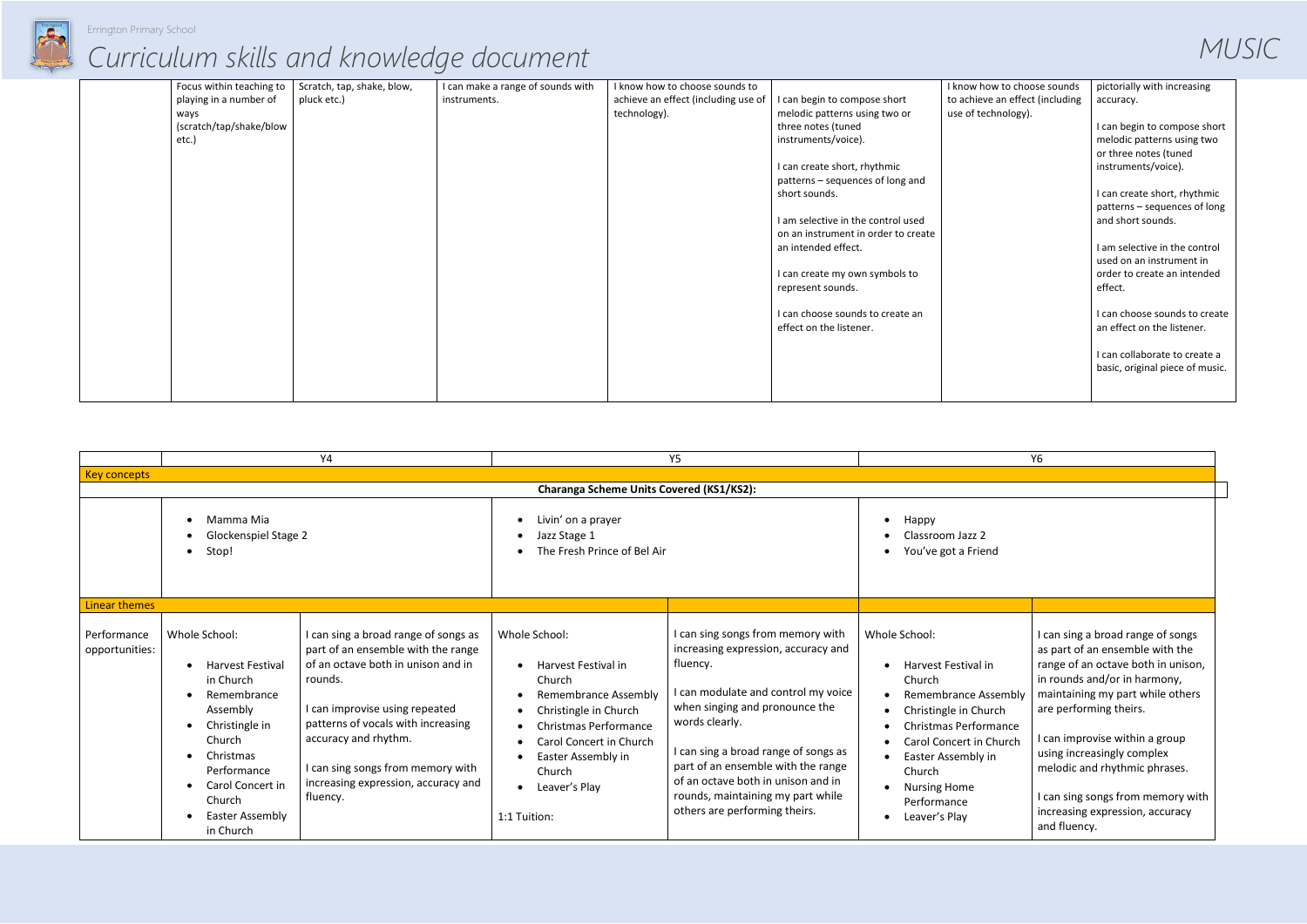

| Focus within teaching to | Scratch, tap, shake, blow, | I can make a range of sounds with | I know how to choose sounds to      |                                     | I know how to choose sounds     | pictorially with increasing     |
|--------------------------|----------------------------|-----------------------------------|-------------------------------------|-------------------------------------|---------------------------------|---------------------------------|
| playing in a number of   | pluck etc.)                | instruments.                      | achieve an effect (including use of | I can begin to compose short        | to achieve an effect (including | accuracy.                       |
| ways                     |                            |                                   | technology).                        | melodic patterns using two or       | use of technology).             |                                 |
| (scratch/tap/shake/blow  |                            |                                   |                                     | three notes (tuned                  |                                 | I can begin to compose short    |
| etc.)                    |                            |                                   |                                     | instruments/voice).                 |                                 | melodic patterns using two      |
|                          |                            |                                   |                                     |                                     |                                 | or three notes (tuned           |
|                          |                            |                                   |                                     | I can create short, rhythmic        |                                 | instruments/voice).             |
|                          |                            |                                   |                                     | patterns - sequences of long and    |                                 |                                 |
|                          |                            |                                   |                                     | short sounds.                       |                                 | I can create short, rhythmic    |
|                          |                            |                                   |                                     |                                     |                                 | patterns - sequences of long    |
|                          |                            |                                   |                                     | I am selective in the control used  |                                 | and short sounds.               |
|                          |                            |                                   |                                     | on an instrument in order to create |                                 |                                 |
|                          |                            |                                   |                                     | an intended effect.                 |                                 | I am selective in the control   |
|                          |                            |                                   |                                     |                                     |                                 | used on an instrument in        |
|                          |                            |                                   |                                     | I can create my own symbols to      |                                 | order to create an intended     |
|                          |                            |                                   |                                     | represent sounds.                   |                                 | effect.                         |
|                          |                            |                                   |                                     |                                     |                                 |                                 |
|                          |                            |                                   |                                     | I can choose sounds to create an    |                                 | I can choose sounds to create   |
|                          |                            |                                   |                                     | effect on the listener.             |                                 | an effect on the listener.      |
|                          |                            |                                   |                                     |                                     |                                 |                                 |
|                          |                            |                                   |                                     |                                     |                                 | I can collaborate to create a   |
|                          |                            |                                   |                                     |                                     |                                 | basic, original piece of music. |
|                          |                            |                                   |                                     |                                     |                                 |                                 |
|                          |                            |                                   |                                     |                                     |                                 |                                 |

|                                            |                                                                                                                                                                                                        | <b>Y4</b>                                                                                                                                                                                                                                                                                                           |                                                                                                                                                                                                                                                                                                     | Y <sub>5</sub>                                                                                                                                                                                                                                                                                                                                                        |                                                                                                                                                                                                                                                                 | Y <sub>6</sub> |
|--------------------------------------------|--------------------------------------------------------------------------------------------------------------------------------------------------------------------------------------------------------|---------------------------------------------------------------------------------------------------------------------------------------------------------------------------------------------------------------------------------------------------------------------------------------------------------------------|-----------------------------------------------------------------------------------------------------------------------------------------------------------------------------------------------------------------------------------------------------------------------------------------------------|-----------------------------------------------------------------------------------------------------------------------------------------------------------------------------------------------------------------------------------------------------------------------------------------------------------------------------------------------------------------------|-----------------------------------------------------------------------------------------------------------------------------------------------------------------------------------------------------------------------------------------------------------------|----------------|
| <b>Key concepts</b>                        |                                                                                                                                                                                                        |                                                                                                                                                                                                                                                                                                                     |                                                                                                                                                                                                                                                                                                     |                                                                                                                                                                                                                                                                                                                                                                       |                                                                                                                                                                                                                                                                 |                |
|                                            |                                                                                                                                                                                                        |                                                                                                                                                                                                                                                                                                                     | Charanga Scheme Units Covered (KS1/KS2):                                                                                                                                                                                                                                                            |                                                                                                                                                                                                                                                                                                                                                                       |                                                                                                                                                                                                                                                                 |                |
| Mamma Mia<br>Glockenspiel Stage 2<br>Stop! |                                                                                                                                                                                                        | Livin' on a prayer<br>$\bullet$<br>Jazz Stage 1<br>$\bullet$<br>The Fresh Prince of Bel Air                                                                                                                                                                                                                         |                                                                                                                                                                                                                                                                                                     | Happy<br>Classroom Jazz 2<br>You've got a Friend                                                                                                                                                                                                                                                                                                                      |                                                                                                                                                                                                                                                                 |                |
| <b>Linear themes</b>                       |                                                                                                                                                                                                        |                                                                                                                                                                                                                                                                                                                     |                                                                                                                                                                                                                                                                                                     |                                                                                                                                                                                                                                                                                                                                                                       |                                                                                                                                                                                                                                                                 |                |
| Performance<br>opportunities:              | Whole School:<br><b>Harvest Festival</b><br>in Church<br>Remembrance<br>Assembly<br>Christingle in<br>Church<br>Christmas<br>Performance<br>Carol Concert in<br>Church<br>Easter Assembly<br>in Church | I can sing a broad range of songs as<br>part of an ensemble with the range<br>of an octave both in unison and in<br>rounds.<br>I can improvise using repeated<br>patterns of vocals with increasing<br>accuracy and rhythm.<br>I can sing songs from memory with<br>increasing expression, accuracy and<br>fluency. | Whole School:<br>Harvest Festival in<br>Church<br><b>Remembrance Assembly</b><br>$\bullet$<br>Christingle in Church<br>$\bullet$<br><b>Christmas Performance</b><br>$\bullet$<br>Carol Concert in Church<br>$\bullet$<br>Easter Assembly in<br>Church<br>Leaver's Play<br>$\bullet$<br>1:1 Tuition: | can sing songs from memory with<br>increasing expression, accuracy and<br>fluency.<br>can modulate and control my voice<br>when singing and pronounce the<br>words clearly.<br>I can sing a broad range of songs as<br>part of an ensemble with the range<br>of an octave both in unison and in<br>rounds, maintaining my part while<br>others are performing theirs. | Whole School:<br>Harvest Festival in<br>Church<br><b>Remembrance Assembly</b><br>Christingle in Church<br><b>Christmas Performance</b><br><b>Carol Concert in Church</b><br>Easter Assembly in<br>Church<br><b>Nursing Home</b><br>Performance<br>Leaver's Play |                |

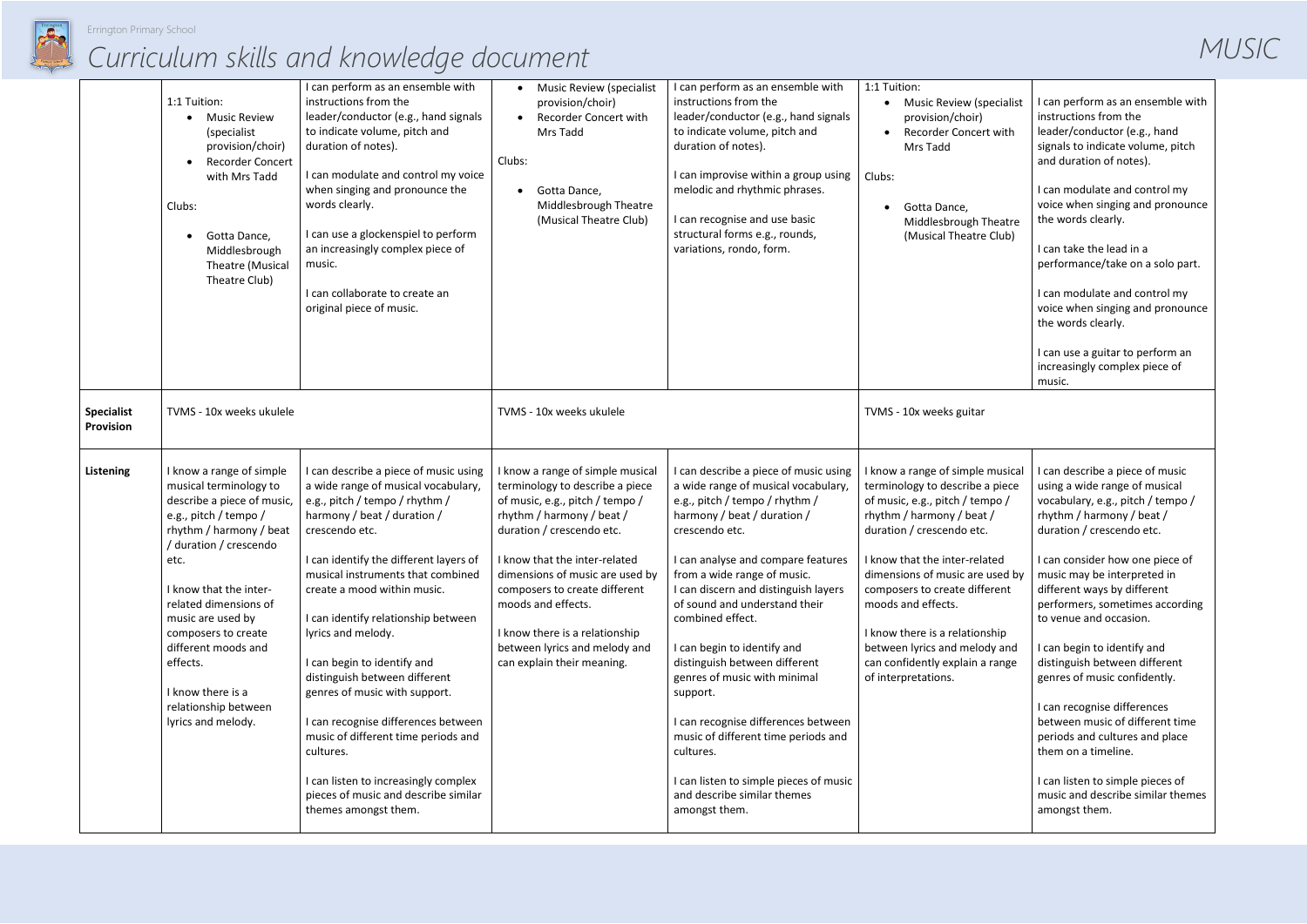

|                                | 1:1 Tuition:<br><b>Music Review</b><br>٠<br>(specialist)<br>provision/choir)<br><b>Recorder Concert</b><br>with Mrs Tadd<br>Clubs:<br>Gotta Dance,<br>Middlesbrough<br>Theatre (Musical<br>Theatre Club)                                                                                                                                                                    | I can perform as an ensemble with<br>instructions from the<br>leader/conductor (e.g., hand signals<br>to indicate volume, pitch and<br>duration of notes).<br>I can modulate and control my voice<br>when singing and pronounce the<br>words clearly.<br>I can use a glockenspiel to perform<br>an increasingly complex piece of<br>music.<br>I can collaborate to create an<br>original piece of music.                                                                                                                                                                                                                                       | <b>Music Review (specialist</b><br>provision/choir)<br><b>Recorder Concert with</b><br>Mrs Tadd<br>Clubs:<br>Gotta Dance,<br>Middlesbrough Theatre<br>(Musical Theatre Club)                                                                                                                                                                                                               | I can perform as an ensemble with<br>instructions from the<br>leader/conductor (e.g., hand signals<br>to indicate volume, pitch and<br>duration of notes).<br>I can improvise within a group using<br>melodic and rhythmic phrases.<br>I can recognise and use basic<br>structural forms e.g., rounds,<br>variations, rondo, form.                                                                                                                                                                                                                                                                                                 | 1:1 Tuition:<br><b>Music Review (specialist</b><br>provision/choir)<br><b>Recorder Concert with</b><br>Mrs Tadd<br>Clubs:<br>Gotta Dance,<br>Middlesbrough Theatre<br>(Musical Theatre Club)                                                                                                                                                                                                                             | I can perform as an ensemble with<br>instructions from the<br>leader/conductor (e.g., hand<br>signals to indicate volume, pitch<br>and duration of notes).<br>I can modulate and control my<br>voice when singing and pronounce<br>the words clearly.<br>I can take the lead in a<br>performance/take on a solo part.<br>I can modulate and control my<br>voice when singing and pronounce<br>the words clearly.<br>I can use a guitar to perform an<br>increasingly complex piece of<br>music.                                                                                                                                                    |
|--------------------------------|-----------------------------------------------------------------------------------------------------------------------------------------------------------------------------------------------------------------------------------------------------------------------------------------------------------------------------------------------------------------------------|------------------------------------------------------------------------------------------------------------------------------------------------------------------------------------------------------------------------------------------------------------------------------------------------------------------------------------------------------------------------------------------------------------------------------------------------------------------------------------------------------------------------------------------------------------------------------------------------------------------------------------------------|--------------------------------------------------------------------------------------------------------------------------------------------------------------------------------------------------------------------------------------------------------------------------------------------------------------------------------------------------------------------------------------------|------------------------------------------------------------------------------------------------------------------------------------------------------------------------------------------------------------------------------------------------------------------------------------------------------------------------------------------------------------------------------------------------------------------------------------------------------------------------------------------------------------------------------------------------------------------------------------------------------------------------------------|--------------------------------------------------------------------------------------------------------------------------------------------------------------------------------------------------------------------------------------------------------------------------------------------------------------------------------------------------------------------------------------------------------------------------|----------------------------------------------------------------------------------------------------------------------------------------------------------------------------------------------------------------------------------------------------------------------------------------------------------------------------------------------------------------------------------------------------------------------------------------------------------------------------------------------------------------------------------------------------------------------------------------------------------------------------------------------------|
| <b>Specialist</b><br>Provision | TVMS - 10x weeks ukulele                                                                                                                                                                                                                                                                                                                                                    |                                                                                                                                                                                                                                                                                                                                                                                                                                                                                                                                                                                                                                                | TVMS - 10x weeks ukulele                                                                                                                                                                                                                                                                                                                                                                   |                                                                                                                                                                                                                                                                                                                                                                                                                                                                                                                                                                                                                                    | TVMS - 10x weeks guitar                                                                                                                                                                                                                                                                                                                                                                                                  |                                                                                                                                                                                                                                                                                                                                                                                                                                                                                                                                                                                                                                                    |
| <b>Listening</b>               | I know a range of simple<br>musical terminology to<br>describe a piece of music,<br>e.g., pitch / tempo /<br>rhythm / harmony / beat<br>/ duration / crescendo<br>etc.<br>I know that the inter-<br>related dimensions of<br>music are used by<br>composers to create<br>different moods and<br>effects.<br>I know there is a<br>relationship between<br>lyrics and melody. | I can describe a piece of music using<br>a wide range of musical vocabulary,<br>e.g., pitch / tempo / rhythm /<br>harmony / beat / duration /<br>crescendo etc.<br>I can identify the different layers of<br>musical instruments that combined<br>create a mood within music.<br>I can identify relationship between<br>lyrics and melody.<br>I can begin to identify and<br>distinguish between different<br>genres of music with support.<br>I can recognise differences between<br>music of different time periods and<br>cultures.<br>I can listen to increasingly complex<br>pieces of music and describe similar<br>themes amongst them. | know a range of simple musical<br>terminology to describe a piece<br>of music, e.g., pitch / tempo /<br>rhythm / harmony / beat /<br>duration / crescendo etc.<br>I know that the inter-related<br>dimensions of music are used by<br>composers to create different<br>moods and effects.<br>I know there is a relationship<br>between lyrics and melody and<br>can explain their meaning. | I can describe a piece of music using<br>a wide range of musical vocabulary,<br>e.g., pitch / tempo / rhythm /<br>harmony / beat / duration /<br>crescendo etc.<br>I can analyse and compare features<br>from a wide range of music.<br>I can discern and distinguish layers<br>of sound and understand their<br>combined effect.<br>I can begin to identify and<br>distinguish between different<br>genres of music with minimal<br>support.<br>I can recognise differences between<br>music of different time periods and<br>cultures.<br>I can listen to simple pieces of music<br>and describe similar themes<br>amongst them. | I know a range of simple musical<br>terminology to describe a piece<br>of music, e.g., pitch / tempo /<br>rhythm / harmony / beat /<br>duration / crescendo etc.<br>I know that the inter-related<br>dimensions of music are used by<br>composers to create different<br>moods and effects.<br>I know there is a relationship<br>between lyrics and melody and<br>can confidently explain a range<br>of interpretations. | I can describe a piece of music<br>using a wide range of musical<br>vocabulary, e.g., pitch / tempo /<br>rhythm / harmony / beat /<br>duration / crescendo etc.<br>I can consider how one piece of<br>music may be interpreted in<br>different ways by different<br>performers, sometimes according<br>to venue and occasion.<br>I can begin to identify and<br>distinguish between different<br>genres of music confidently.<br>I can recognise differences<br>between music of different time<br>periods and cultures and place<br>them on a timeline.<br>I can listen to simple pieces of<br>music and describe similar themes<br>amongst them. |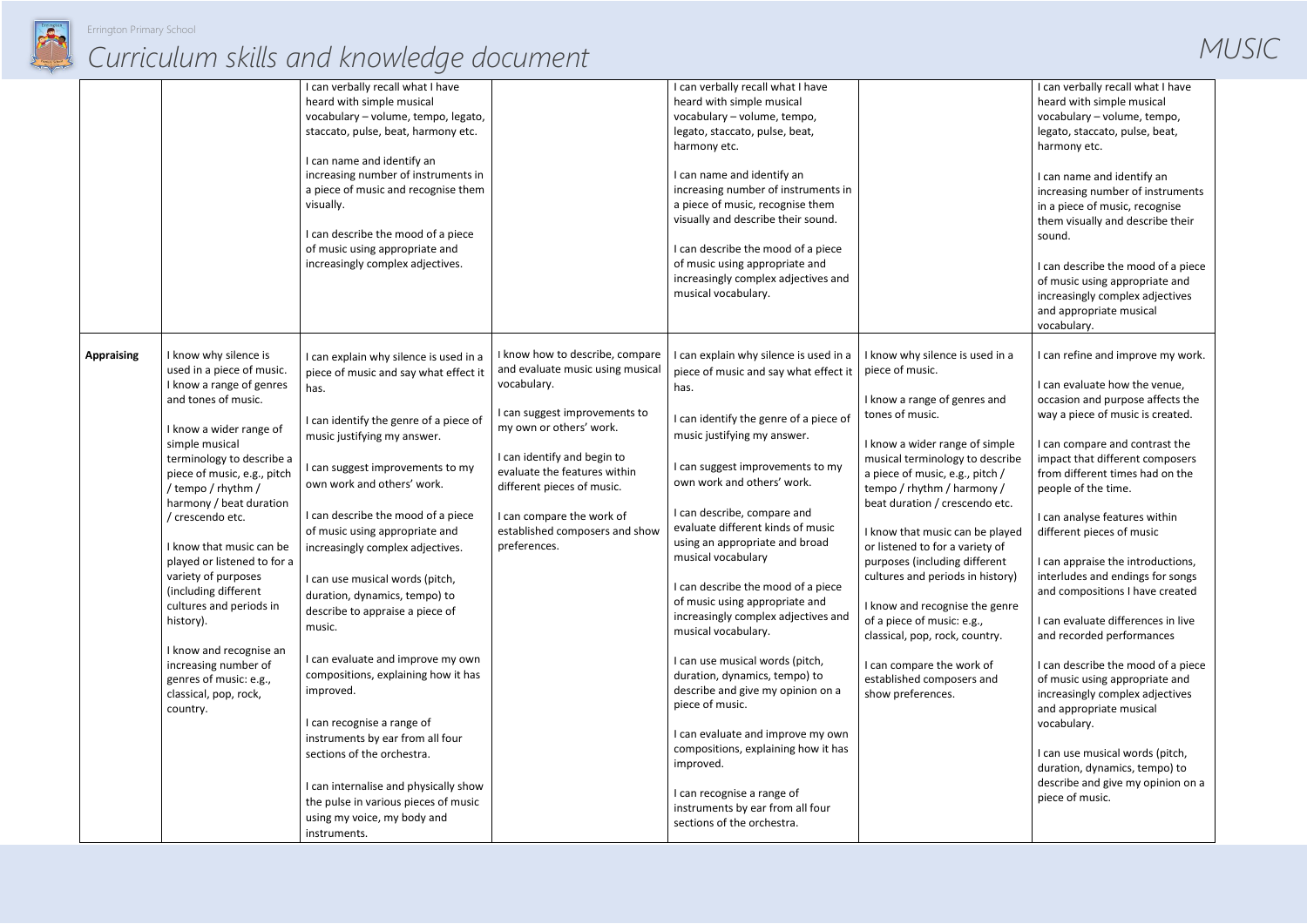

|                   |                                                                                                                                                                                                                                                                                                                                                                                                                                                                                                                                             | I can verbally recall what I have<br>heard with simple musical<br>vocabulary - volume, tempo, legato,<br>staccato, pulse, beat, harmony etc.<br>I can name and identify an<br>increasing number of instruments in<br>a piece of music and recognise them<br>visually.<br>I can describe the mood of a piece<br>of music using appropriate and<br>increasingly complex adjectives.                                                                                                                                                                        |                                                                                                                                                                                                                                                                                                                            | I can verbally recall what I have<br>heard with simple musical<br>vocabulary - volume, tempo,<br>legato, staccato, pulse, beat,<br>harmony etc.<br>I can name and identify an<br>increasing number of instruments in<br>a piece of music, recognise them<br>visually and describe their sound.<br>I can describe the mood of a piece<br>of music using appropriate and<br>increasingly complex adjectives and<br>musical vocabulary.                                                                                                                                                                          |                                                                                                                                                                                                                                                                                                                                                                                                                                                                                                                                                                                                           |
|-------------------|---------------------------------------------------------------------------------------------------------------------------------------------------------------------------------------------------------------------------------------------------------------------------------------------------------------------------------------------------------------------------------------------------------------------------------------------------------------------------------------------------------------------------------------------|----------------------------------------------------------------------------------------------------------------------------------------------------------------------------------------------------------------------------------------------------------------------------------------------------------------------------------------------------------------------------------------------------------------------------------------------------------------------------------------------------------------------------------------------------------|----------------------------------------------------------------------------------------------------------------------------------------------------------------------------------------------------------------------------------------------------------------------------------------------------------------------------|---------------------------------------------------------------------------------------------------------------------------------------------------------------------------------------------------------------------------------------------------------------------------------------------------------------------------------------------------------------------------------------------------------------------------------------------------------------------------------------------------------------------------------------------------------------------------------------------------------------|-----------------------------------------------------------------------------------------------------------------------------------------------------------------------------------------------------------------------------------------------------------------------------------------------------------------------------------------------------------------------------------------------------------------------------------------------------------------------------------------------------------------------------------------------------------------------------------------------------------|
| <b>Appraising</b> | I know why silence is<br>used in a piece of music.<br>I know a range of genres<br>and tones of music.<br>I know a wider range of<br>simple musical<br>terminology to describe a<br>piece of music, e.g., pitch<br>/ tempo / rhythm /<br>harmony / beat duration<br>/ crescendo etc.<br>I know that music can be<br>played or listened to for a<br>variety of purposes<br>(including different<br>cultures and periods in<br>history).<br>I know and recognise an<br>increasing number of<br>genres of music: e.g.,<br>classical, pop, rock, | I can explain why silence is used in a<br>piece of music and say what effect it<br>has.<br>I can identify the genre of a piece of<br>music justifying my answer.<br>I can suggest improvements to my<br>own work and others' work.<br>I can describe the mood of a piece<br>of music using appropriate and<br>increasingly complex adjectives.<br>I can use musical words (pitch,<br>duration, dynamics, tempo) to<br>describe to appraise a piece of<br>music.<br>I can evaluate and improve my own<br>compositions, explaining how it has<br>improved. | I know how to describe, compare<br>and evaluate music using musical<br>vocabulary.<br>I can suggest improvements to<br>my own or others' work.<br>I can identify and begin to<br>evaluate the features within<br>different pieces of music.<br>I can compare the work of<br>established composers and show<br>preferences. | I can explain why silence is used in a<br>piece of music and say what effect it<br>has.<br>I can identify the genre of a piece of<br>music justifying my answer.<br>I can suggest improvements to my<br>own work and others' work.<br>I can describe, compare and<br>evaluate different kinds of music<br>using an appropriate and broad<br>musical vocabulary<br>I can describe the mood of a piece<br>of music using appropriate and<br>increasingly complex adjectives and<br>musical vocabulary.<br>I can use musical words (pitch,<br>duration, dynamics, tempo) to<br>describe and give my opinion on a | I know why silence is used in a<br>piece of music.<br>I know a range of genres and<br>tones of music.<br>I know a wider range of simple<br>musical terminology to describe<br>a piece of music, e.g., pitch /<br>tempo / rhythm / harmony /<br>beat duration / crescendo etc.<br>I know that music can be played<br>or listened to for a variety of<br>purposes (including different<br>cultures and periods in history)<br>I know and recognise the genre<br>of a piece of music: e.g.,<br>classical, pop, rock, country.<br>I can compare the work of<br>established composers and<br>show preferences. |
|                   | country.                                                                                                                                                                                                                                                                                                                                                                                                                                                                                                                                    | I can recognise a range of<br>instruments by ear from all four<br>sections of the orchestra.<br>I can internalise and physically show<br>the pulse in various pieces of music<br>using my voice, my body and<br>instruments.                                                                                                                                                                                                                                                                                                                             |                                                                                                                                                                                                                                                                                                                            | piece of music.<br>I can evaluate and improve my own<br>compositions, explaining how it has<br>improved.<br>I can recognise a range of<br>instruments by ear from all four<br>sections of the orchestra.                                                                                                                                                                                                                                                                                                                                                                                                      |                                                                                                                                                                                                                                                                                                                                                                                                                                                                                                                                                                                                           |

|                                   | I can verbally recall what I have<br>heard with simple musical<br>vocabulary - volume, tempo,<br>legato, staccato, pulse, beat,<br>harmony etc.   |  |
|-----------------------------------|---------------------------------------------------------------------------------------------------------------------------------------------------|--|
|                                   | I can name and identify an<br>increasing number of instruments<br>in a piece of music, recognise<br>them visually and describe their<br>sound.    |  |
|                                   | I can describe the mood of a piece<br>of music using appropriate and<br>increasingly complex adjectives<br>and appropriate musical<br>vocabulary. |  |
| d in a                            | I can refine and improve my work.                                                                                                                 |  |
| and                               | I can evaluate how the venue,<br>occasion and purpose affects the<br>way a piece of music is created.                                             |  |
| simple<br>lescribe<br>ch /<br>ny/ | I can compare and contrast the<br>impact that different composers<br>from different times had on the<br>people of the time.                       |  |
| o etc.<br>played                  | I can analyse features within<br>different pieces of music                                                                                        |  |
| y of<br>rent<br>istory)           | I can appraise the introductions,<br>interludes and endings for songs<br>and compositions I have created                                          |  |
| e genre :<br>try.                 | I can evaluate differences in live<br>and recorded performances                                                                                   |  |
| эf<br>nd                          | I can describe the mood of a piece<br>of music using appropriate and<br>increasingly complex adjectives<br>and appropriate musical<br>vocabulary. |  |
|                                   | I can use musical words (pitch,<br>duration, dynamics, tempo) to<br>describe and give my opinion on a<br>piece of music.                          |  |
|                                   |                                                                                                                                                   |  |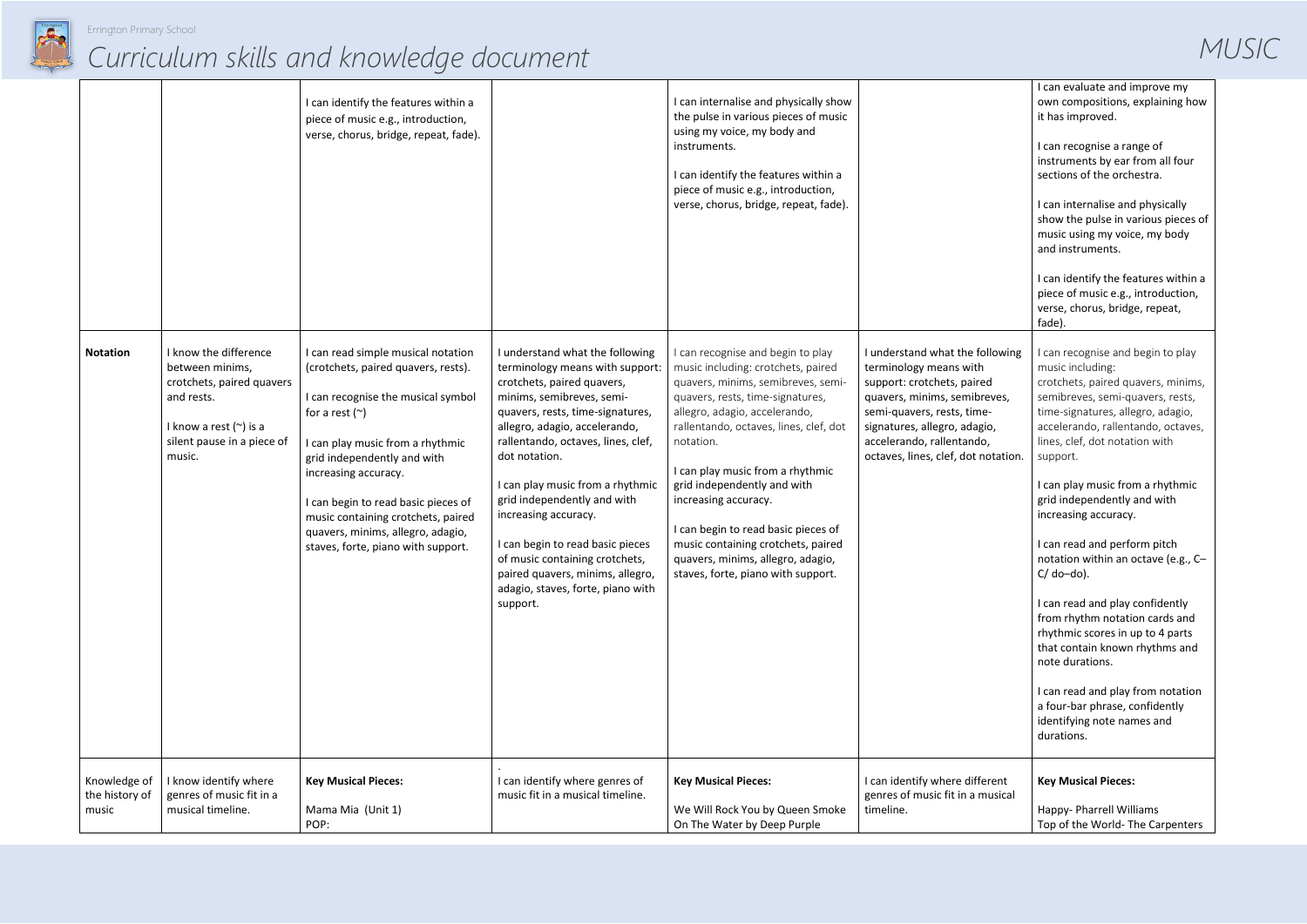

|                                         |                                                                                                                                                            | I can identify the features within a<br>piece of music e.g., introduction,<br>verse, chorus, bridge, repeat, fade).                                                                                                                                                                                                                                                                       |                                                                                                                                                                                                                                                                                                                                                                                                                                                                                                                 | I can internalise and physically show<br>the pulse in various pieces of music<br>using my voice, my body and<br>instruments.<br>I can identify the features within a<br>piece of music e.g., introduction,<br>verse, chorus, bridge, repeat, fade).                                                                                                                                                                                                                                          |                                                                                                                                                                                                                                                           | I can evaluate and improve my<br>own compositions, explaining how<br>it has improved.<br>I can recognise a range of<br>instruments by ear from all four<br>sections of the orchestra.<br>I can internalise and physically<br>show the pulse in various pieces of<br>music using my voice, my body<br>and instruments.<br>I can identify the features within a<br>piece of music e.g., introduction,<br>verse, chorus, bridge, repeat,<br>fade).                                                                                                                                                                                                                                                                             |
|-----------------------------------------|------------------------------------------------------------------------------------------------------------------------------------------------------------|-------------------------------------------------------------------------------------------------------------------------------------------------------------------------------------------------------------------------------------------------------------------------------------------------------------------------------------------------------------------------------------------|-----------------------------------------------------------------------------------------------------------------------------------------------------------------------------------------------------------------------------------------------------------------------------------------------------------------------------------------------------------------------------------------------------------------------------------------------------------------------------------------------------------------|----------------------------------------------------------------------------------------------------------------------------------------------------------------------------------------------------------------------------------------------------------------------------------------------------------------------------------------------------------------------------------------------------------------------------------------------------------------------------------------------|-----------------------------------------------------------------------------------------------------------------------------------------------------------------------------------------------------------------------------------------------------------|-----------------------------------------------------------------------------------------------------------------------------------------------------------------------------------------------------------------------------------------------------------------------------------------------------------------------------------------------------------------------------------------------------------------------------------------------------------------------------------------------------------------------------------------------------------------------------------------------------------------------------------------------------------------------------------------------------------------------------|
| <b>Notation</b>                         | I know the difference<br>between minims,<br>crotchets, paired quavers<br>and rests.<br>I know a rest $(\sim)$ is a<br>silent pause in a piece of<br>music. | I can read simple musical notation<br>(crotchets, paired quavers, rests).<br>I can recognise the musical symbol<br>for a rest $(\sim)$<br>I can play music from a rhythmic<br>grid independently and with<br>increasing accuracy.<br>I can begin to read basic pieces of<br>music containing crotchets, paired<br>quavers, minims, allegro, adagio,<br>staves, forte, piano with support. | I understand what the following<br>terminology means with support:<br>crotchets, paired quavers,<br>minims, semibreves, semi-<br>quavers, rests, time-signatures,<br>allegro, adagio, accelerando,<br>rallentando, octaves, lines, clef,<br>dot notation.<br>I can play music from a rhythmic<br>grid independently and with<br>increasing accuracy.<br>I can begin to read basic pieces<br>of music containing crotchets,<br>paired quavers, minims, allegro,<br>adagio, staves, forte, piano with<br>support. | I can recognise and begin to play<br>music including: crotchets, paired<br>quavers, minims, semibreves, semi-<br>quavers, rests, time-signatures,<br>allegro, adagio, accelerando,<br>rallentando, octaves, lines, clef, dot<br>notation.<br>I can play music from a rhythmic<br>grid independently and with<br>increasing accuracy.<br>I can begin to read basic pieces of<br>music containing crotchets, paired<br>quavers, minims, allegro, adagio,<br>staves, forte, piano with support. | I understand what the following<br>terminology means with<br>support: crotchets, paired<br>quavers, minims, semibreves,<br>semi-quavers, rests, time-<br>signatures, allegro, adagio,<br>accelerando, rallentando,<br>octaves, lines, clef, dot notation. | I can recognise and begin to play<br>music including:<br>crotchets, paired quavers, minims,<br>semibreves, semi-quavers, rests,<br>time-signatures, allegro, adagio,<br>accelerando, rallentando, octaves,<br>lines, clef, dot notation with<br>support.<br>I can play music from a rhythmic<br>grid independently and with<br>increasing accuracy.<br>I can read and perform pitch<br>notation within an octave (e.g., C-<br>$C/do$ -do).<br>I can read and play confidently<br>from rhythm notation cards and<br>rhythmic scores in up to 4 parts<br>that contain known rhythms and<br>note durations.<br>I can read and play from notation<br>a four-bar phrase, confidently<br>identifying note names and<br>durations. |
| Knowledge of<br>the history of<br>music | I know identify where<br>genres of music fit in a<br>musical timeline.                                                                                     | <b>Key Musical Pieces:</b><br>Mama Mia (Unit 1)<br>POP:                                                                                                                                                                                                                                                                                                                                   | I can identify where genres of<br>music fit in a musical timeline.                                                                                                                                                                                                                                                                                                                                                                                                                                              | <b>Key Musical Pieces:</b><br>We Will Rock You by Queen Smoke<br>On The Water by Deep Purple                                                                                                                                                                                                                                                                                                                                                                                                 | I can identify where different<br>genres of music fit in a musical<br>timeline.                                                                                                                                                                           | <b>Key Musical Pieces:</b><br>Happy- Pharrell Williams<br>Top of the World- The Carpenters                                                                                                                                                                                                                                                                                                                                                                                                                                                                                                                                                                                                                                  |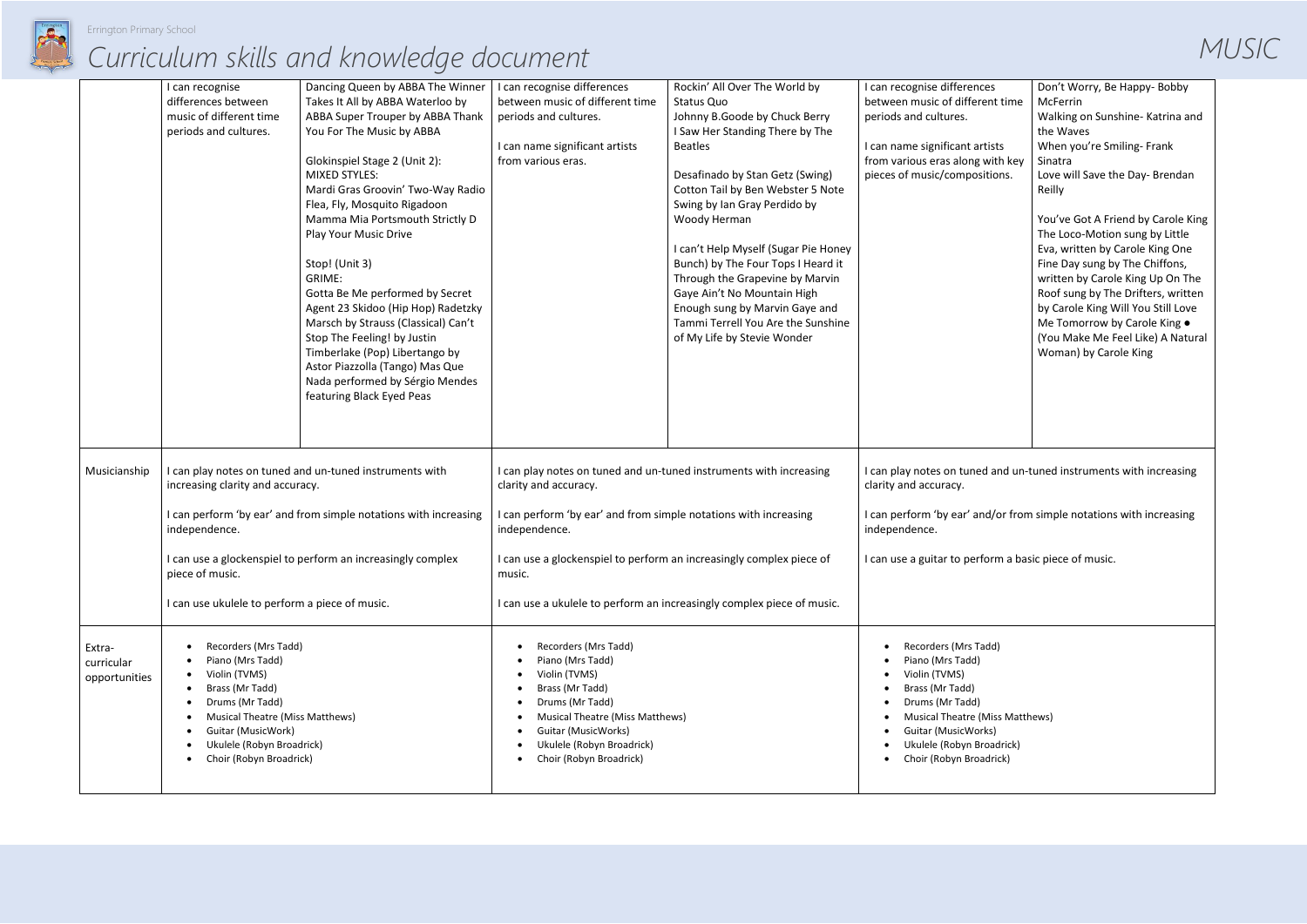

|                                       | I can recognise<br>differences between<br>music of different time<br>periods and cultures.                                                                                                                                                                                  | Dancing Queen by ABBA The Winner<br>Takes It All by ABBA Waterloo by<br>ABBA Super Trouper by ABBA Thank<br>You For The Music by ABBA<br>Glokinspiel Stage 2 (Unit 2):<br><b>MIXED STYLES:</b><br>Mardi Gras Groovin' Two-Way Radio<br>Flea, Fly, Mosquito Rigadoon<br>Mamma Mia Portsmouth Strictly D<br>Play Your Music Drive<br>Stop! (Unit 3)<br>GRIME:<br>Gotta Be Me performed by Secret<br>Agent 23 Skidoo (Hip Hop) Radetzky<br>Marsch by Strauss (Classical) Can't<br>Stop The Feeling! by Justin<br>Timberlake (Pop) Libertango by<br>Astor Piazzolla (Tango) Mas Que<br>Nada performed by Sérgio Mendes<br>featuring Black Eyed Peas | I can recognise differences<br>between music of different time<br>periods and cultures.<br>I can name significant artists<br>from various eras.                                                                                                          | Rockin' All Over The World by<br>Status Quo<br>Johnny B.Goode by Chuck Berry<br>I Saw Her Standing There by The<br><b>Beatles</b><br>Desafinado by Stan Getz (Swing)<br>Cotton Tail by Ben Webster 5 Note<br>Swing by Ian Gray Perdido by<br>Woody Herman<br>I can't Help Myself (Sugar Pie Honey<br>Bunch) by The Four Tops I Heard it<br>Through the Grapevine by Marvin<br>Gaye Ain't No Mountain High<br>Enough sung by Marvin Gaye and<br>Tammi Terrell You Are the Sunshine<br>of My Life by Stevie Wonder | I can recognise differences<br>between music of different time<br>periods and cultures.<br>I can name significant artists<br>from various eras along with key<br>pieces of music/compositions.                      |
|---------------------------------------|-----------------------------------------------------------------------------------------------------------------------------------------------------------------------------------------------------------------------------------------------------------------------------|-------------------------------------------------------------------------------------------------------------------------------------------------------------------------------------------------------------------------------------------------------------------------------------------------------------------------------------------------------------------------------------------------------------------------------------------------------------------------------------------------------------------------------------------------------------------------------------------------------------------------------------------------|----------------------------------------------------------------------------------------------------------------------------------------------------------------------------------------------------------------------------------------------------------|------------------------------------------------------------------------------------------------------------------------------------------------------------------------------------------------------------------------------------------------------------------------------------------------------------------------------------------------------------------------------------------------------------------------------------------------------------------------------------------------------------------|---------------------------------------------------------------------------------------------------------------------------------------------------------------------------------------------------------------------|
| Musicianship                          | I can play notes on tuned and un-tuned instruments with<br>increasing clarity and accuracy.<br>I can perform 'by ear' and from simple notations with increasing<br>independence.<br>I can use a glockenspiel to perform an increasingly complex<br>piece of music.          |                                                                                                                                                                                                                                                                                                                                                                                                                                                                                                                                                                                                                                                 | I can play notes on tuned and un-tuned instruments with increasing<br>clarity and accuracy.                                                                                                                                                              |                                                                                                                                                                                                                                                                                                                                                                                                                                                                                                                  | can play notes on tuned and un-<br>clarity and accuracy.                                                                                                                                                            |
|                                       |                                                                                                                                                                                                                                                                             |                                                                                                                                                                                                                                                                                                                                                                                                                                                                                                                                                                                                                                                 | I can perform 'by ear' and from simple notations with increasing<br>independence.<br>I can use a glockenspiel to perform an increasingly complex piece of<br>music.                                                                                      |                                                                                                                                                                                                                                                                                                                                                                                                                                                                                                                  | I can perform 'by ear' and/or fror<br>independence.                                                                                                                                                                 |
|                                       |                                                                                                                                                                                                                                                                             |                                                                                                                                                                                                                                                                                                                                                                                                                                                                                                                                                                                                                                                 |                                                                                                                                                                                                                                                          |                                                                                                                                                                                                                                                                                                                                                                                                                                                                                                                  | I can use a guitar to perform a ba                                                                                                                                                                                  |
|                                       | I can use ukulele to perform a piece of music.                                                                                                                                                                                                                              |                                                                                                                                                                                                                                                                                                                                                                                                                                                                                                                                                                                                                                                 |                                                                                                                                                                                                                                                          | I can use a ukulele to perform an increasingly complex piece of music.                                                                                                                                                                                                                                                                                                                                                                                                                                           |                                                                                                                                                                                                                     |
| Extra-<br>curricular<br>opportunities | Recorders (Mrs Tadd)<br>٠<br>Piano (Mrs Tadd)<br>Violin (TVMS)<br>$\bullet$<br>Brass (Mr Tadd)<br>٠<br>Drums (Mr Tadd)<br>٠<br>Musical Theatre (Miss Matthews)<br>$\bullet$<br>Guitar (MusicWork)<br>$\bullet$<br>Ukulele (Robyn Broadrick)<br>٠<br>Choir (Robyn Broadrick) |                                                                                                                                                                                                                                                                                                                                                                                                                                                                                                                                                                                                                                                 | Recorders (Mrs Tadd)<br>$\bullet$<br>Piano (Mrs Tadd)<br>Violin (TVMS)<br>Brass (Mr Tadd)<br>Drums (Mr Tadd)<br>Musical Theatre (Miss Matthews)<br>$\bullet$<br>Guitar (MusicWorks)<br>$\bullet$<br>Ukulele (Robyn Broadrick)<br>Choir (Robyn Broadrick) |                                                                                                                                                                                                                                                                                                                                                                                                                                                                                                                  | Recorders (Mrs Tadd)<br>Piano (Mrs Tadd)<br>Violin (TVMS)<br>Brass (Mr Tadd)<br>Drums (Mr Tadd)<br><b>Musical Theatre (Miss Matt</b><br>Guitar (MusicWorks)<br>Ukulele (Robyn Broadrick)<br>Choir (Robyn Broadrick) |

| ΞŚ<br>nt time    | Don't Worry, Be Happy- Bobby<br>McFerrin                                                                                                                                                                                                                                                                                                                |
|------------------|---------------------------------------------------------------------------------------------------------------------------------------------------------------------------------------------------------------------------------------------------------------------------------------------------------------------------------------------------------|
|                  | Walking on Sunshine- Katrina and<br>the Waves                                                                                                                                                                                                                                                                                                           |
| ists<br>vith key | When you're Smiling- Frank<br>Sinatra                                                                                                                                                                                                                                                                                                                   |
| tions.           | Love will Save the Day- Brendan<br>Reilly                                                                                                                                                                                                                                                                                                               |
|                  | You've Got A Friend by Carole King<br>The Loco-Motion sung by Little<br>Eva, written by Carole King One<br>Fine Day sung by The Chiffons,<br>written by Carole King Up On The<br>Roof sung by The Drifters, written<br>by Carole King Will You Still Love<br>Me Tomorrow by Carole King .<br>(You Make Me Feel Like) A Natural<br>Woman) by Carole King |

ed and un-tuned instruments with increasing

I d/or from simple notations with increasing

form a basic piece of music.

Miss Matthews) ·ks) roadrick) adrick)